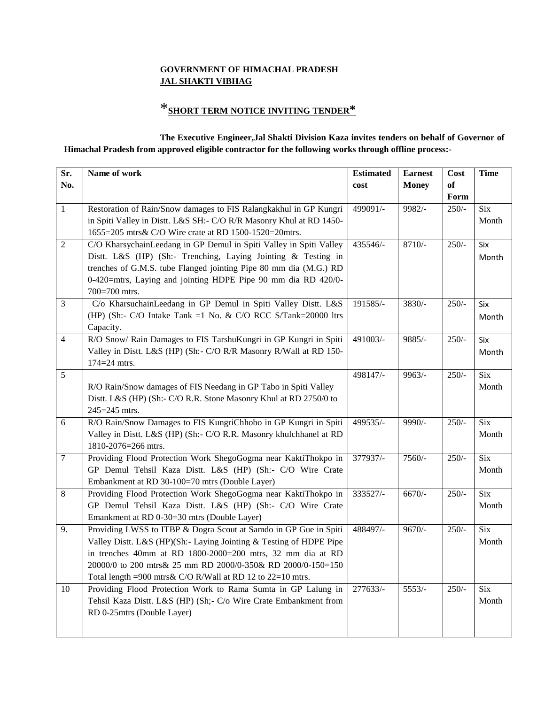### **GOVERNMENT OF HIMACHAL PRADESH JAL SHAKTI VIBHAG**

# \***SHORT TERM NOTICE INVITING TENDER\***

#### **The Executive Engineer,Jal Shakti Division Kaza invites tenders on behalf of Governor of Himachal Pradesh from approved eligible contractor for the following works through offline process:-**

| Sr.<br>No.     | Name of work                                                                                                                                                                                                                                                                                                                      | <b>Estimated</b><br>cost | <b>Earnest</b><br><b>Money</b> | Cost<br>of | <b>Time</b>               |
|----------------|-----------------------------------------------------------------------------------------------------------------------------------------------------------------------------------------------------------------------------------------------------------------------------------------------------------------------------------|--------------------------|--------------------------------|------------|---------------------------|
|                |                                                                                                                                                                                                                                                                                                                                   |                          |                                | Form       |                           |
| $\mathbf{1}$   | Restoration of Rain/Snow damages to FIS Ralangkakhul in GP Kungri<br>in Spiti Valley in Distt. L&S SH:- C/O R/R Masonry Khul at RD 1450-<br>1655=205 mtrs& C/O Wire crate at RD 1500-1520=20mtrs.                                                                                                                                 | 499091/-                 | 9982/-                         | $250/-$    | Six<br>Month              |
| $\overline{2}$ | C/O KharsychainLeedang in GP Demul in Spiti Valley in Spiti Valley<br>Distt. L&S (HP) (Sh:- Trenching, Laying Jointing & Testing in<br>trenches of G.M.S. tube Flanged jointing Pipe 80 mm dia (M.G.) RD<br>0-420=mtrs, Laying and jointing HDPE Pipe 90 mm dia RD 420/0-<br>700=700 mtrs.                                        | 435546/-                 | $8710/-$                       | $250/-$    | Six<br>Month              |
| $\mathfrak{Z}$ | C/o KharsuchainLeedang in GP Demul in Spiti Valley Distt. L&S<br>(HP) (Sh:- C/O Intake Tank =1 No. & C/O RCC S/Tank=20000 ltrs<br>Capacity.                                                                                                                                                                                       | 191585/-                 | 3830/-                         | $250/-$    | Six<br>Month              |
| $\overline{4}$ | R/O Snow/ Rain Damages to FIS TarshuKungri in GP Kungri in Spiti<br>Valley in Distt. L&S (HP) (Sh:- C/O R/R Masonry R/Wall at RD 150-<br>174=24 mtrs.                                                                                                                                                                             | 491003/-                 | 9885/-                         | $250/-$    | Six<br>Month              |
| 5              | R/O Rain/Snow damages of FIS Needang in GP Tabo in Spiti Valley<br>Distt. L&S (HP) (Sh:- C/O R.R. Stone Masonry Khul at RD 2750/0 to<br>245=245 mtrs.                                                                                                                                                                             | 498147/-                 | $9963/-$                       | $250/-$    | <b>Six</b><br>Month       |
| 6              | R/O Rain/Snow Damages to FIS KungriChhobo in GP Kungri in Spiti<br>Valley in Distt. L&S (HP) (Sh:- C/O R.R. Masonry khulchhanel at RD<br>1810-2076=266 mtrs.                                                                                                                                                                      | 499535/-                 | 9990/-                         | $250/-$    | $\overline{Six}$<br>Month |
| $\tau$         | Providing Flood Protection Work ShegoGogma near KaktiThokpo in<br>GP Demul Tehsil Kaza Distt. L&S (HP) (Sh:- C/O Wire Crate<br>Embankment at RD 30-100=70 mtrs (Double Layer)                                                                                                                                                     | 377937/-                 | $7560/-$                       | $250/-$    | <b>Six</b><br>Month       |
| 8              | Providing Flood Protection Work ShegoGogma near KaktiThokpo in<br>GP Demul Tehsil Kaza Distt. L&S (HP) (Sh:- C/O Wire Crate<br>Emankment at RD 0-30=30 mtrs (Double Layer)                                                                                                                                                        | 333527/-                 | $6670/-$                       | $250/-$    | <b>Six</b><br>Month       |
| 9.             | Providing LWSS to ITBP & Dogra Scout at Samdo in GP Gue in Spiti<br>Valley Distt. L&S (HP)(Sh:- Laying Jointing & Testing of HDPE Pipe<br>in trenches 40mm at RD 1800-2000=200 mtrs, 32 mm dia at RD<br>20000/0 to 200 mtrs& 25 mm RD 2000/0-350& RD 2000/0-150=150<br>Total length =900 mtrs& C/O R/Wall at RD 12 to 22=10 mtrs. | 488497/-                 | $9670/-$                       | $250/-$    | <b>Six</b><br>Month       |
| 10             | Providing Flood Protection Work to Rama Sumta in GP Lalung in<br>Tehsil Kaza Distt. L&S (HP) (Sh;- C/o Wire Crate Embankment from<br>RD 0-25mtrs (Double Layer)                                                                                                                                                                   | 277633/-                 | $5553/-$                       | $250/-$    | <b>Six</b><br>Month       |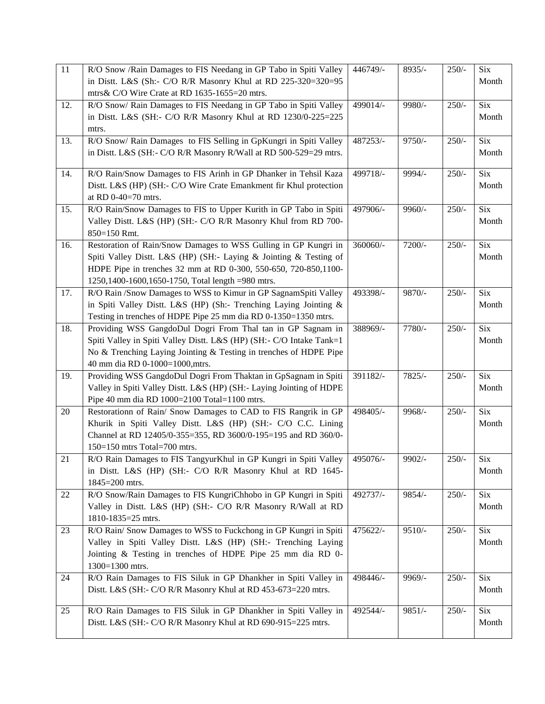| $\overline{11}$ | R/O Snow /Rain Damages to FIS Needang in GP Tabo in Spiti Valley     | 446749/-              | $8935/-$ | $250/-$ | Six        |
|-----------------|----------------------------------------------------------------------|-----------------------|----------|---------|------------|
|                 | in Distt. L&S (Sh:- C/O R/R Masonry Khul at RD 225-320=320=95        |                       |          |         | Month      |
|                 | mtrs& C/O Wire Crate at RD 1635-1655=20 mtrs.                        |                       |          |         |            |
| 12.             | R/O Snow/ Rain Damages to FIS Needang in GP Tabo in Spiti Valley     | 499014/-              | 9980/-   | $250/-$ | <b>Six</b> |
|                 | in Distt. L&S (SH:- C/O R/R Masonry Khul at RD 1230/0-225=225        |                       |          |         | Month      |
|                 | mtrs.                                                                |                       |          |         |            |
| 13.             | R/O Snow/ Rain Damages to FIS Selling in GpKungri in Spiti Valley    | 487253/-              | $9750/-$ | $250/-$ | Six        |
|                 | in Distt. L&S (SH:- C/O R/R Masonry R/Wall at RD 500-529=29 mtrs.    |                       |          |         | Month      |
|                 |                                                                      |                       |          |         |            |
| 14.             | R/O Rain/Snow Damages to FIS Arinh in GP Dhanker in Tehsil Kaza      | 499718/-              | 9994/-   | $250/-$ | <b>Six</b> |
|                 | Distt. L&S (HP) (SH:- C/O Wire Crate Emankment fir Khul protection   |                       |          |         | Month      |
|                 | at RD 0-40=70 mtrs.                                                  |                       |          |         |            |
| 15.             | R/O Rain/Snow Damages to FIS to Upper Kurith in GP Tabo in Spiti     | 497906/-              | 9960/-   | $250/-$ | <b>Six</b> |
|                 | Valley Distt. L&S (HP) (SH:- C/O R/R Masonry Khul from RD 700-       |                       |          |         | Month      |
|                 | 850=150 Rmt.                                                         |                       |          |         |            |
| 16.             | Restoration of Rain/Snow Damages to WSS Gulling in GP Kungri in      | 360060/-              | 7200/-   | $250/-$ | <b>Six</b> |
|                 | Spiti Valley Distt. L&S (HP) (SH:- Laying & Jointing & Testing of    |                       |          |         | Month      |
|                 | HDPE Pipe in trenches 32 mm at RD 0-300, 550-650, 720-850,1100-      |                       |          |         |            |
|                 | 1250,1400-1600,1650-1750, Total length =980 mtrs.                    |                       |          |         |            |
| 17.             | R/O Rain /Snow Damages to WSS to Kimur in GP SagnamSpiti Valley      | 493398/-              | 9870/-   | $250/-$ | <b>Six</b> |
|                 | in Spiti Valley Distt. L&S (HP) (Sh:- Trenching Laying Jointing &    |                       |          |         | Month      |
|                 | Testing in trenches of HDPE Pipe 25 mm dia RD 0-1350=1350 mtrs.      |                       |          |         |            |
| 18.             | Providing WSS GangdoDul Dogri From Thal tan in GP Sagnam in          | 388969/-              | 7780/-   | $250/-$ | <b>Six</b> |
|                 | Spiti Valley in Spiti Valley Distt. L&S (HP) (SH:- C/O Intake Tank=1 |                       |          |         | Month      |
|                 | No & Trenching Laying Jointing & Testing in trenches of HDPE Pipe    |                       |          |         |            |
|                 | 40 mm dia RD 0-1000=1000, mtrs.                                      |                       |          |         |            |
| 19.             | Providing WSS GangdoDul Dogri From Thaktan in GpSagnam in Spiti      | 391182/-              | $7825/-$ | $250/-$ | <b>Six</b> |
|                 | Valley in Spiti Valley Distt. L&S (HP) (SH:- Laying Jointing of HDPE |                       |          |         | Month      |
|                 | Pipe 40 mm dia RD 1000=2100 Total=1100 mtrs.                         |                       |          |         |            |
| 20              | Restorationn of Rain/ Snow Damages to CAD to FIS Rangrik in GP       | 498405/-              | 9968/-   | $250/-$ | <b>Six</b> |
|                 | Khurik in Spiti Valley Distt. L&S (HP) (SH:- C/O C.C. Lining         |                       |          |         | Month      |
|                 | Channel at RD 12405/0-355=355, RD 3600/0-195=195 and RD 360/0-       |                       |          |         |            |
|                 | 150=150 mtrs Total=700 mtrs.                                         |                       |          |         |            |
| 21              | R/O Rain Damages to FIS TangyurKhul in GP Kungri in Spiti Valley     | 495076/-              | 9902/-   | $250/-$ | Six        |
|                 | in Distt. L&S (HP) (SH:- C/O R/R Masonry Khul at RD 1645-            |                       |          |         | Month      |
|                 | 1845=200 mtrs.                                                       |                       |          |         |            |
| 22              | R/O Snow/Rain Damages to FIS KungriChhobo in GP Kungri in Spiti      | 492737/-              | $9854/-$ | $250/-$ | <b>Six</b> |
|                 | Valley in Distt. L&S (HP) (SH:- C/O R/R Masonry R/Wall at RD         |                       |          |         | Month      |
|                 | 1810-1835=25 mtrs.                                                   |                       |          |         |            |
| 23              | R/O Rain/ Snow Damages to WSS to Fuckchong in GP Kungri in Spiti     | 475622/-              | $9510/-$ | $250/-$ | Six        |
|                 | Valley in Spiti Valley Distt. L&S (HP) (SH:- Trenching Laying        |                       |          |         | Month      |
|                 | Jointing & Testing in trenches of HDPE Pipe 25 mm dia RD 0-          |                       |          |         |            |
|                 | 1300=1300 mtrs.                                                      |                       |          |         |            |
| 24              | R/O Rain Damages to FIS Siluk in GP Dhankher in Spiti Valley in      | 498446/-              | 9969/-   | $250/-$ | Six        |
|                 | Distt. L&S (SH:- C/O R/R Masonry Khul at RD 453-673=220 mtrs.        |                       |          |         | Month      |
|                 |                                                                      |                       |          |         |            |
| 25              | R/O Rain Damages to FIS Siluk in GP Dhankher in Spiti Valley in      | $492544$ <sup>7</sup> | $9851/-$ | $250/-$ | Six        |
|                 | Distt. L&S (SH:- C/O R/R Masonry Khul at RD 690-915=225 mtrs.        |                       |          |         | Month      |
|                 |                                                                      |                       |          |         |            |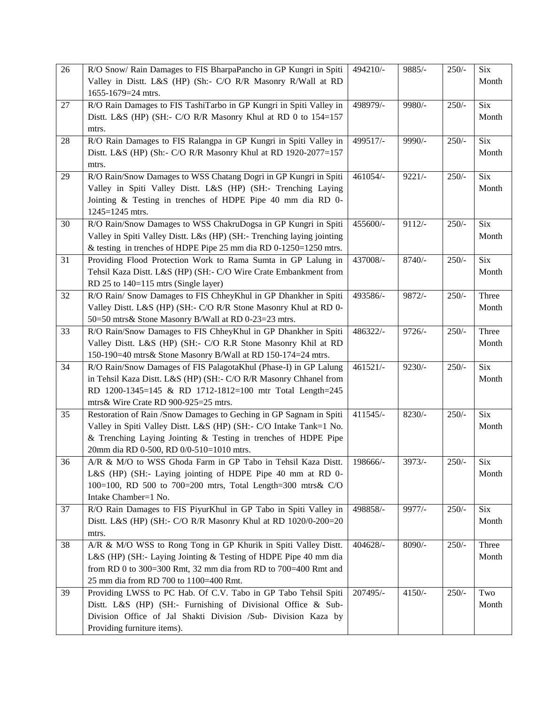| 26 | R/O Snow/ Rain Damages to FIS BharpaPancho in GP Kungri in Spiti                                                                      | 494210/- | 9885/-   | $250/-$ | Six              |
|----|---------------------------------------------------------------------------------------------------------------------------------------|----------|----------|---------|------------------|
|    | Valley in Distt. L&S (HP) (Sh:- C/O R/R Masonry R/Wall at RD<br>1655-1679=24 mtrs.                                                    |          |          |         | Month            |
| 27 | R/O Rain Damages to FIS TashiTarbo in GP Kungri in Spiti Valley in                                                                    | 498979/- | 9980/-   | $250/-$ | <b>Six</b>       |
|    | Distt. L&S (HP) (SH:- C/O R/R Masonry Khul at RD 0 to 154=157                                                                         |          |          |         | Month            |
|    | mtrs.                                                                                                                                 |          |          |         |                  |
| 28 | R/O Rain Damages to FIS Ralangpa in GP Kungri in Spiti Valley in                                                                      | 499517/- | 9990/-   | $250/-$ | Six              |
|    | Distt. L&S (HP) (Sh:- C/O R/R Masonry Khul at RD 1920-2077=157<br>mtrs.                                                               |          |          |         | Month            |
| 29 | R/O Rain/Snow Damages to WSS Chatang Dogri in GP Kungri in Spiti                                                                      | 461054/- | $9221/-$ | $250/-$ | <b>Six</b>       |
|    | Valley in Spiti Valley Distt. L&S (HP) (SH:- Trenching Laying                                                                         |          |          |         | Month            |
|    | Jointing & Testing in trenches of HDPE Pipe 40 mm dia RD 0-                                                                           |          |          |         |                  |
|    | 1245=1245 mtrs.                                                                                                                       |          |          |         |                  |
| 30 | R/O Rain/Snow Damages to WSS ChakruDogsa in GP Kungri in Spiti                                                                        | 455600/- | $9112/-$ | $250/-$ | <b>Six</b>       |
|    | Valley in Spiti Valley Distt. L&s (HP) (SH:- Trenching laying jointing                                                                |          |          |         | Month            |
|    | & testing in trenches of HDPE Pipe 25 mm dia RD 0-1250=1250 mtrs.                                                                     |          |          |         |                  |
| 31 | Providing Flood Protection Work to Rama Sumta in GP Lalung in                                                                         | 437008/- | $8740/-$ | $250/-$ | $\overline{Six}$ |
|    | Tehsil Kaza Distt. L&S (HP) (SH:- C/O Wire Crate Embankment from                                                                      |          |          |         | Month            |
|    | RD 25 to $140=115$ mtrs (Single layer)                                                                                                |          |          |         |                  |
| 32 | R/O Rain/ Snow Damages to FIS ChheyKhul in GP Dhankher in Spiti                                                                       | 493586/- | $9872/-$ | $250/-$ | Three            |
|    | Valley Distt. L&S (HP) (SH:- C/O R/R Stone Masonry Khul at RD 0-                                                                      |          |          |         | Month            |
|    | 50=50 mtrs& Stone Masonry B/Wall at RD 0-23=23 mtrs.                                                                                  |          |          |         |                  |
| 33 | R/O Rain/Snow Damages to FIS ChheyKhul in GP Dhankher in Spiti                                                                        | 486322/- | $9726/-$ | $250/-$ | Three            |
|    | Valley Distt. L&S (HP) (SH:- C/O R.R Stone Masonry Khil at RD                                                                         |          |          |         | Month            |
| 34 | 150-190=40 mtrs& Stone Masonry B/Wall at RD 150-174=24 mtrs.                                                                          | 461521/- | $9230/-$ |         | <b>Six</b>       |
|    | R/O Rain/Snow Damages of FIS PalagotaKhul (Phase-I) in GP Lalung<br>in Tehsil Kaza Distt. L&S (HP) (SH:- C/O R/R Masonry Chhanel from |          |          | $250/-$ | Month            |
|    | RD 1200-1345=145 & RD 1712-1812=100 mtr Total Length=245                                                                              |          |          |         |                  |
|    | mtrs& Wire Crate RD 900-925=25 mtrs.                                                                                                  |          |          |         |                  |
| 35 | Restoration of Rain /Snow Damages to Geching in GP Sagnam in Spiti                                                                    | 411545/- | $8230/-$ | $250/-$ | <b>Six</b>       |
|    | Valley in Spiti Valley Distt. L&S (HP) (SH:- C/O Intake Tank=1 No.                                                                    |          |          |         | Month            |
|    | & Trenching Laying Jointing & Testing in trenches of HDPE Pipe                                                                        |          |          |         |                  |
|    | 20mm dia RD 0-500, RD 0/0-510=1010 mtrs.                                                                                              |          |          |         |                  |
| 36 | A/R & M/O to WSS Ghoda Farm in GP Tabo in Tehsil Kaza Distt.   198666/-                                                               |          | $3973/-$ | $250/-$ | $\overline{Six}$ |
|    | L&S (HP) (SH:- Laying jointing of HDPE Pipe 40 mm at RD 0-                                                                            |          |          |         | Month            |
|    | 100=100, RD 500 to 700=200 mtrs, Total Length=300 mtrs& C/O                                                                           |          |          |         |                  |
|    | Intake Chamber=1 No.                                                                                                                  |          |          |         |                  |
| 37 | R/O Rain Damages to FIS PiyurKhul in GP Tabo in Spiti Valley in                                                                       | 498858/- | 9977/-   | $250/-$ | <b>Six</b>       |
|    | Distt. L&S (HP) (SH:- C/O R/R Masonry Khul at RD 1020/0-200=20                                                                        |          |          |         | Month            |
|    | mtrs.                                                                                                                                 |          |          |         |                  |
| 38 | A/R & M/O WSS to Rong Tong in GP Khurik in Spiti Valley Distt.                                                                        | 404628/- | 8090/-   | $250/-$ | Three            |
|    | L&S (HP) (SH:- Laying Jointing & Testing of HDPE Pipe 40 mm dia<br>from RD 0 to 300=300 Rmt, 32 mm dia from RD to 700=400 Rmt and     |          |          |         | Month            |
|    | 25 mm dia from RD 700 to 1100=400 Rmt.                                                                                                |          |          |         |                  |
| 39 | Providing LWSS to PC Hab. Of C.V. Tabo in GP Tabo Tehsil Spiti                                                                        | 207495/- | $4150/-$ | $250/-$ | Two              |
|    | Distt. L&S (HP) (SH:- Furnishing of Divisional Office & Sub-                                                                          |          |          |         | Month            |
|    | Division Office of Jal Shakti Division /Sub- Division Kaza by                                                                         |          |          |         |                  |
|    | Providing furniture items).                                                                                                           |          |          |         |                  |